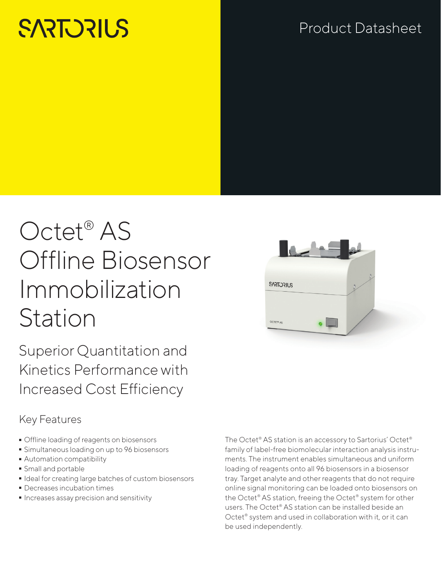# **SARTORILS**

## Product Datasheet

## Octet® AS Offline Biosensor Immobilization Station

Superior Quantitation and Kinetics Performance with Increased Cost Efficiency

#### Key Features

- 
- Offline loading of reagents on biosensors<br>• Simultaneous loading on up to 96 biosen: - Simultaneous loading on up to 96 biosensors
- **Automation compatibility**<br>**S**mall and portable
- 
- Small and portable<br>• Ideal for creating la ■ Ideal for creating large batches of custom biosensors<br>■ Decreases incubation times
- 
- Decreases incubation times<br>■ Increases assay precision an  $\blacksquare$  Increases assay precision and sensitivity

The Octet® AS station is an accessory to Sartorius' Octet® family of label-free biomolecular interaction analysis instruments. The instrument enables simultaneous and uniform loading of reagents onto all 96 biosensors in a biosensor tray. Target analyte and other reagents that do not require online signal monitoring can be loaded onto biosensors on the Octet® AS station, freeing the Octet® system for other users. The Octet® AS station can be installed beside an Octet® system and used in collaboration with it, or it can be used independently.

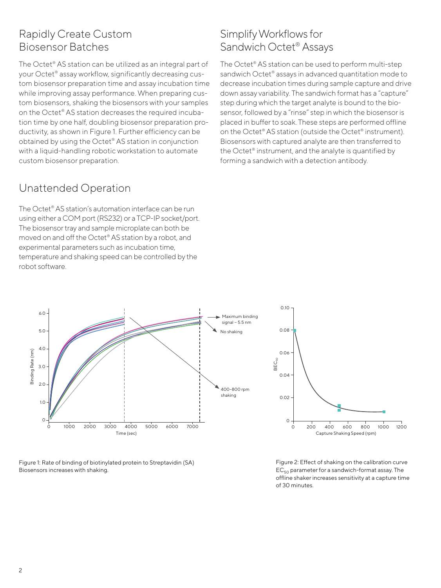#### Rapidly Create Custom Biosensor Batches

The Octet® AS station can be utilized as an integral part of your Octet® assay workflow, significantly decreasing custom biosensor preparation time and assay incubation time while improving assay performance. When preparing custom biosensors, shaking the biosensors with your samples on the Octet® AS station decreases the required incubation time by one half, doubling biosensor preparation productivity, as shown in Figure 1. Further efficiency can be obtained by using the Octet® AS station in conjunction with a liquid-handling robotic workstation to automate custom biosensor preparation.

#### Unattended Operation

The Octet® AS station's automation interface can be run using either a COM port (RS232) or a TCP-IP socket/port. The biosensor tray and sample microplate can both be moved on and off the Octet® AS station by a robot, and experimental parameters such as incubation time, temperature and shaking speed can be controlled by the robot software.

#### Simplify Workflows for Sandwich Octet® Assays

The Octet® AS station can be used to perform multi-step sandwich Octet<sup>®</sup> assays in advanced quantitation mode to decrease incubation times during sample capture and drive down assay variability. The sandwich format has a "capture" step during which the target analyte is bound to the biosensor, followed by a "rinse" step in which the biosensor is placed in buffer to soak. These steps are performed offline on the Octet® AS station (outside the Octet® instrument). Biosensors with captured analyte are then transferred to the Octet® instrument, and the analyte is quantified by forming a sandwich with a detection antibody.



Figure 1: Rate of binding of biotinylated protein to Streptavidin (SA) Biosensors increases with shaking.

Figure 2: Effect of shaking on the calibration curve  $EC_{50}$  parameter for a sandwich-format assay. The offline shaker increases sensitivity at a capture time of 30 minutes.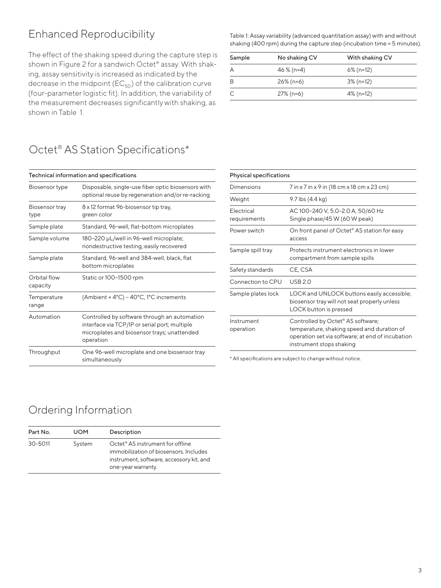### Enhanced Reproducibility

The effect of the shaking speed during the capture step is shown in Figure 2 for a sandwich Octet® assay. With shaking, assay sensitivity is increased as indicated by the decrease in the midpoint ( $EC_{50}$ ) of the calibration curve (four-parameter logistic fit). In addition, the variability of the measurement decreases significantly with shaking, as shown in Table 1.

### Octet<sup>®</sup> AS Station Specifications\*

| Technical information and specifications |                                                                                                                                                           |  |
|------------------------------------------|-----------------------------------------------------------------------------------------------------------------------------------------------------------|--|
| Biosensor type                           | Disposable, single-use fiber optic biosensors with<br>optional reuse by regeneration and/or re-racking                                                    |  |
| Biosensor tray<br>type                   | 8 x 12 format 96-biosensor tip tray,<br>green color                                                                                                       |  |
| Sample plate                             | Standard, 96-well, flat-bottom microplates                                                                                                                |  |
| Sample volume                            | 180-220 µL/well in 96-well microplate;<br>nondestructive testing, easily recovered                                                                        |  |
| Sample plate                             | Standard, 96-well and 384-well, black, flat<br>bottom microplates                                                                                         |  |
| Orbital flow<br>capacity                 | Static or 100-1500 rpm                                                                                                                                    |  |
| Temperature<br>range                     | (Ambient + 4°C) - 40°C, 1°C increments                                                                                                                    |  |
| Automation                               | Controlled by software through an automation<br>interface via TCP/IP or serial port; multiple<br>microplates and biosensor trays; unattended<br>operation |  |
| Throughput                               | One 96-well microplate and one biosensor tray<br>simultaneously                                                                                           |  |
|                                          |                                                                                                                                                           |  |

Table 1: Assay variability (advanced quantitation assay) with and without shaking (400 rpm) during the capture step (incubation time = 5 minutes).

| Sample | No shaking CV | With shaking CV |  |
|--------|---------------|-----------------|--|
| A      | 46 $% (n=4)$  | $6\%$ (n=12)    |  |
| B      | $26\%$ (n=6)  | 3% (n=12)       |  |
|        | $27\%$ (n=6)  | 4% (n=12)       |  |

| <b>Physical specifications</b> |                                                                                                                                                                 |  |
|--------------------------------|-----------------------------------------------------------------------------------------------------------------------------------------------------------------|--|
| Dimensions                     | 7 in x 7 in x 9 in (18 cm x 18 cm x 23 cm)                                                                                                                      |  |
| Weight                         | 9.7 lbs (4.4 kg)                                                                                                                                                |  |
| Electrical<br>requirements     | AC 100-240 V, 5.0-2.0 A, 50/60 Hz<br>Single phase/45 W (60 W peak)                                                                                              |  |
| Power switch                   | On front panel of Octet <sup>®</sup> AS station for easy<br>access                                                                                              |  |
| Sample spill tray              | Protects instrument electronics in lower<br>compartment from sample spills                                                                                      |  |
| Safety standards               | CE. CSA                                                                                                                                                         |  |
| Connection to CPU              | <b>USB 2.0</b>                                                                                                                                                  |  |
| Sample plates lock             | LOCK and UNLOCK buttons easily accessible;<br>biosensor tray will not seat properly unless<br>LOCK button is pressed                                            |  |
| Instrument<br>operation        | Controlled by Octet® AS software;<br>temperature, shaking speed and duration of<br>operation set via software; at end of incubation<br>instrument stops shaking |  |
|                                |                                                                                                                                                                 |  |

\* All specifications are subject to change without notice.

#### Ordering Information

| Part No. | <b>UOM</b> | Description                                                                                                                                              |
|----------|------------|----------------------------------------------------------------------------------------------------------------------------------------------------------|
| 30-5011  | System     | Octet <sup>®</sup> AS instrument for offline<br>immobilization of biosensors. Includes<br>instrument, software, accessory kit, and<br>one-year warranty. |